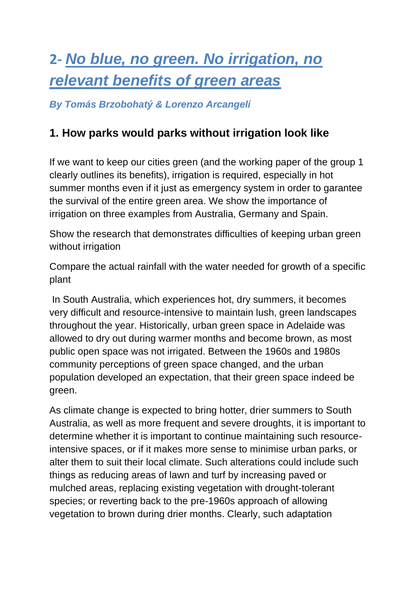## **2-** *No blue, no green. No irrigation, no relevant benefits of green areas*

*By Tomás Brzobohatý & Lorenzo Arcangeli*

## **1. How parks would parks without irrigation look like**

If we want to keep our cities green (and the working paper of the group 1 clearly outlines its benefits), irrigation is required, especially in hot summer months even if it just as emergency system in order to garantee the survival of the entire green area. We show the importance of irrigation on three examples from Australia, Germany and Spain.

Show the research that demonstrates difficulties of keeping urban green without irrigation

Compare the actual rainfall with the water needed for growth of a specific plant

In South Australia, which experiences hot, dry summers, it becomes very difficult and resource-intensive to maintain lush, green landscapes throughout the year. Historically, urban green space in Adelaide was allowed to dry out during warmer months and become brown, as most public open space was not irrigated. Between the 1960s and 1980s community perceptions of green space changed, and the urban population developed an expectation, that their green space indeed be green.

As climate change is expected to bring hotter, drier summers to South Australia, as well as more frequent and severe droughts, it is important to determine whether it is important to continue maintaining such resourceintensive spaces, or if it makes more sense to minimise urban parks, or alter them to suit their local climate. Such alterations could include such things as reducing areas of lawn and turf by increasing paved or mulched areas, replacing existing vegetation with drought-tolerant species; or reverting back to the pre-1960s approach of allowing vegetation to brown during drier months. Clearly, such adaptation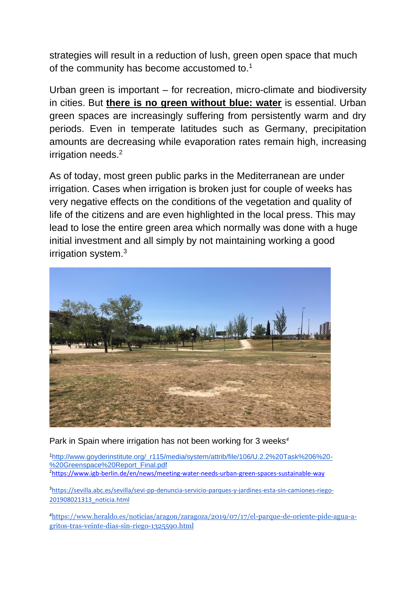strategies will result in a reduction of lush, green open space that much of the community has become accustomed to.<sup>1</sup>

Urban green is important – for recreation, micro-climate and biodiversity in cities. But **there is no green without blue: water** is essential. Urban green spaces are increasingly suffering from persistently warm and dry periods. Even in temperate latitudes such as Germany, precipitation amounts are decreasing while evaporation rates remain high, increasing irrigation needs.<sup>2</sup>

As of today, most green public parks in the Mediterranean are under irrigation. Cases when irrigation is broken just for couple of weeks has very negative effects on the conditions of the vegetation and quality of life of the citizens and are even highlighted in the local press. This may lead to lose the entire green area which normally was done with a huge initial investment and all simply by not maintaining working a good irrigation system.<sup>3</sup>



Park in Spain where irrigation has not been working for 3 weeks*<sup>4</sup>*

<sup>1</sup>[http://www.goyderinstitute.org/\\_r115/media/system/attrib/file/106/U.2.2%20Task%206%20-](http://www.goyderinstitute.org/_r115/media/system/attrib/file/106/U.2.2%20Task%206%20-%20Greenspace%20Report_Final.pdf) [%20Greenspace%20Report\\_Final.pdf](http://www.goyderinstitute.org/_r115/media/system/attrib/file/106/U.2.2%20Task%206%20-%20Greenspace%20Report_Final.pdf) <sup>2</sup><https://www.igb-berlin.de/en/news/meeting-water-needs-urban-green-spaces-sustainable-way>

3[https://sevilla.abc.es/sevilla/sevi-pp-denuncia-servicio-parques-y-jardines-esta-sin-camiones-riego-](https://sevilla.abc.es/sevilla/sevi-pp-denuncia-servicio-parques-y-jardines-esta-sin-camiones-riego-201908021313_noticia.html)[201908021313\\_noticia.html](https://sevilla.abc.es/sevilla/sevi-pp-denuncia-servicio-parques-y-jardines-esta-sin-camiones-riego-201908021313_noticia.html)

4[https://www.heraldo.es/noticias/aragon/zaragoza/2019/07/17/el-parque-de-oriente-pide-agua-a](https://www.heraldo.es/noticias/aragon/zaragoza/2019/07/17/el-parque-de-oriente-pide-agua-a-gritos-tras-veinte-dias-sin-riego-1325590.html)[gritos-tras-veinte-dias-sin-riego-1325590.html](https://www.heraldo.es/noticias/aragon/zaragoza/2019/07/17/el-parque-de-oriente-pide-agua-a-gritos-tras-veinte-dias-sin-riego-1325590.html)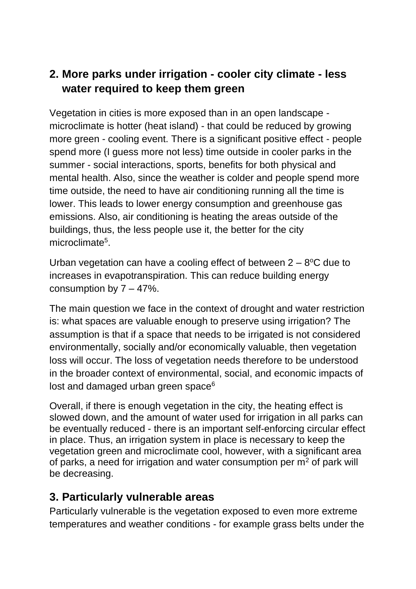## **2. More parks under irrigation - cooler city climate - less water required to keep them green**

Vegetation in cities is more exposed than in an open landscape microclimate is hotter (heat island) - that could be reduced by growing more green - cooling event. There is a significant positive effect - people spend more (I guess more not less) time outside in cooler parks in the summer - social interactions, sports, benefits for both physical and mental health. Also, since the weather is colder and people spend more time outside, the need to have air conditioning running all the time is lower. This leads to lower energy consumption and greenhouse gas emissions. Also, air conditioning is heating the areas outside of the buildings, thus, the less people use it, the better for the city microclimate<sup>5</sup>.

Urban vegetation can have a cooling effect of between  $2 - 8$ <sup>o</sup>C due to increases in evapotranspiration. This can reduce building energy consumption by  $7 - 47\%$ .

The main question we face in the context of drought and water restriction is: what spaces are valuable enough to preserve using irrigation? The assumption is that if a space that needs to be irrigated is not considered environmentally, socially and/or economically valuable, then vegetation loss will occur. The loss of vegetation needs therefore to be understood in the broader context of environmental, social, and economic impacts of lost and damaged urban green space $6$ 

Overall, if there is enough vegetation in the city, the heating effect is slowed down, and the amount of water used for irrigation in all parks can be eventually reduced - there is an important self-enforcing circular effect in place. Thus, an irrigation system in place is necessary to keep the vegetation green and microclimate cool, however, with a significant area of parks, a need for irrigation and water consumption per  $m<sup>2</sup>$  of park will be decreasing.

## **3. Particularly vulnerable areas**

Particularly vulnerable is the vegetation exposed to even more extreme temperatures and weather conditions - for example grass belts under the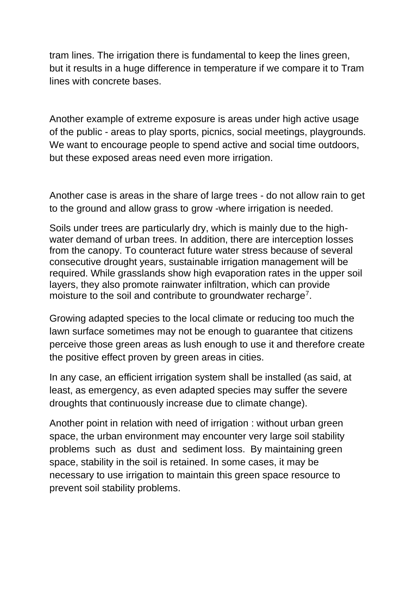tram lines. The irrigation there is fundamental to keep the lines green, but it results in a huge difference in temperature if we compare it to Tram lines with concrete bases.

Another example of extreme exposure is areas under high active usage of the public - areas to play sports, picnics, social meetings, playgrounds. We want to encourage people to spend active and social time outdoors, but these exposed areas need even more irrigation.

Another case is areas in the share of large trees - do not allow rain to get to the ground and allow grass to grow -where irrigation is needed.

Soils under trees are particularly dry, which is mainly due to the highwater demand of urban trees. In addition, there are interception losses from the canopy. To counteract future water stress because of several consecutive drought years, sustainable irrigation management will be required. While grasslands show high evaporation rates in the upper soil layers, they also promote rainwater infiltration, which can provide moisture to the soil and contribute to groundwater recharge<sup>7</sup>.

Growing adapted species to the local climate or reducing too much the lawn surface sometimes may not be enough to guarantee that citizens perceive those green areas as lush enough to use it and therefore create the positive effect proven by green areas in cities.

In any case, an efficient irrigation system shall be installed (as said, at least, as emergency, as even adapted species may suffer the severe droughts that continuously increase due to climate change).

Another point in relation with need of irrigation : without urban green space, the urban environment may encounter very large soil stability problems such as dust and sediment loss. By maintaining green space, stability in the soil is retained. In some cases, it may be necessary to use irrigation to maintain this green space resource to prevent soil stability problems.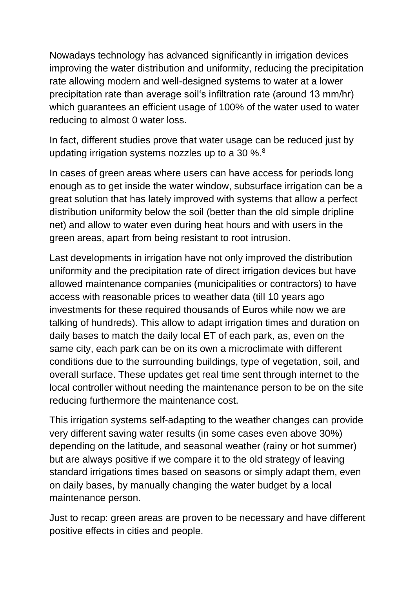Nowadays technology has advanced significantly in irrigation devices improving the water distribution and uniformity, reducing the precipitation rate allowing modern and well-designed systems to water at a lower precipitation rate than average soil's infiltration rate (around 13 mm/hr) which guarantees an efficient usage of 100% of the water used to water reducing to almost 0 water loss.

In fact, different studies prove that water usage can be reduced just by updating irrigation systems nozzles up to a 30 %.<sup>8</sup>

In cases of green areas where users can have access for periods long enough as to get inside the water window, subsurface irrigation can be a great solution that has lately improved with systems that allow a perfect distribution uniformity below the soil (better than the old simple dripline net) and allow to water even during heat hours and with users in the green areas, apart from being resistant to root intrusion.

Last developments in irrigation have not only improved the distribution uniformity and the precipitation rate of direct irrigation devices but have allowed maintenance companies (municipalities or contractors) to have access with reasonable prices to weather data (till 10 years ago investments for these required thousands of Euros while now we are talking of hundreds). This allow to adapt irrigation times and duration on daily bases to match the daily local ET of each park, as, even on the same city, each park can be on its own a microclimate with different conditions due to the surrounding buildings, type of vegetation, soil, and overall surface. These updates get real time sent through internet to the local controller without needing the maintenance person to be on the site reducing furthermore the maintenance cost.

This irrigation systems self-adapting to the weather changes can provide very different saving water results (in some cases even above 30%) depending on the latitude, and seasonal weather (rainy or hot summer) but are always positive if we compare it to the old strategy of leaving standard irrigations times based on seasons or simply adapt them, even on daily bases, by manually changing the water budget by a local maintenance person.

Just to recap: green areas are proven to be necessary and have different positive effects in cities and people.